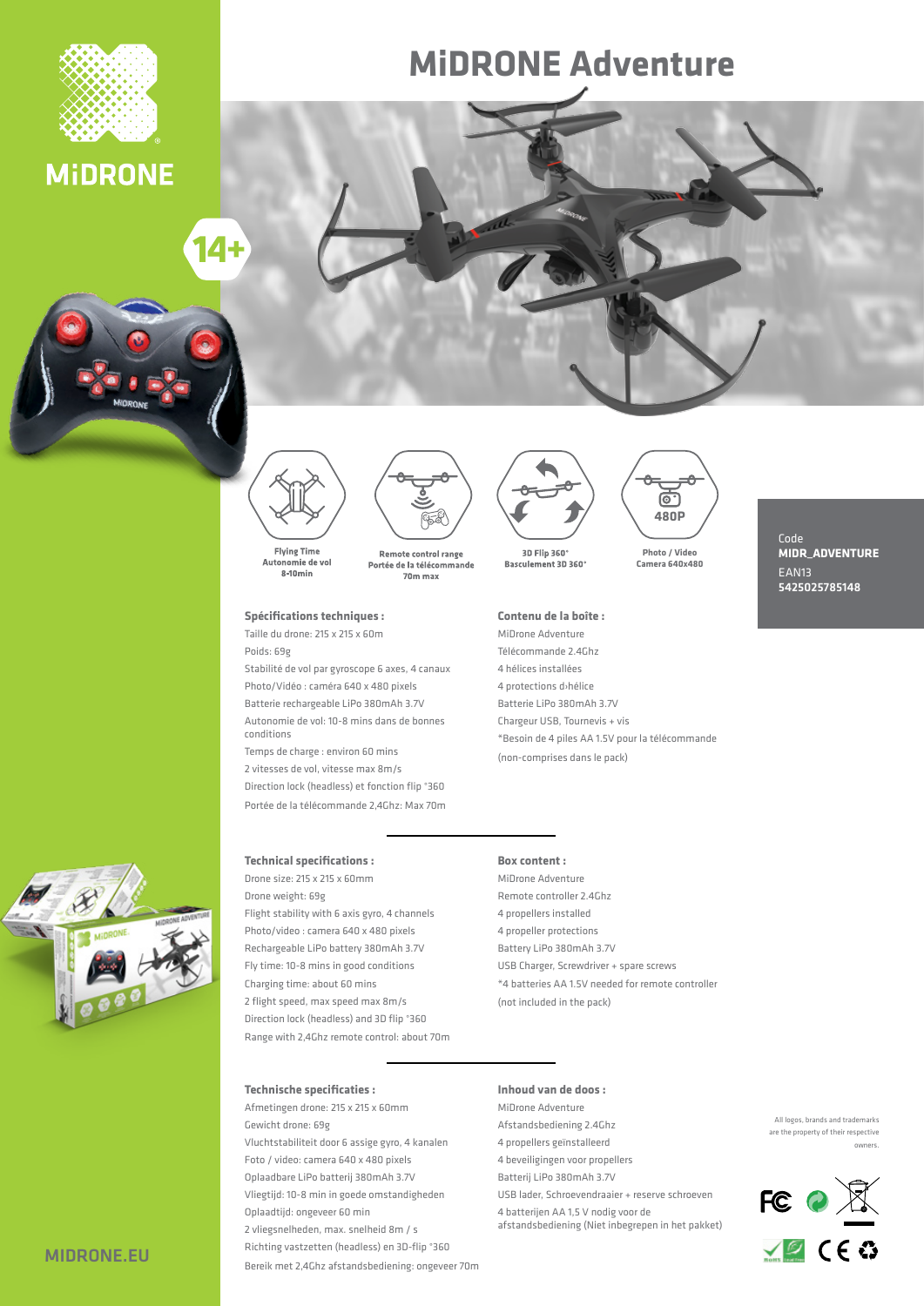

### **MIDRONE**

# $14 +$





Autonomie de vol  $8-10min$ 



#### **Spécifications techniques :**

Taille du drone:  $215 \times 215 \times 60$ m Poids: 69g

Stabilité de vol par gyroscope 6 axes, 4 canaux Photo/Vidéo: caméra 640 x 480 pixels Batterie rechargeable LiPo 380mAh 3.7V Autonomie de vol: 10-8 mins dans de bonnes conditions

Temps de charge : environ 60 mins 2 vitesses de vol, vitesse max 8m/s Direction lock (headless) et fonction flip °360 Portée de la télécommande 2,4Ghz: Max 70m



**MIDRONE Adventure** 

3D Flip 360° Basculement 3D 360

#### Contenu de la boîte :

MiDrone Adventure Télécommande 2.4 Ghz 4 hélices installées 4 protections d>hélice Batterie LiPo 380mAh 3.7V Chargeur USB, Tournevis + vis \*Besoin de 4 piles AA 1.5V pour la télécommande (non-comprises dans le pack)

### **Video / Photo 480x640 Camera**

**P480**

ு

Code **MIDR\_ADVENTURE** EAN<sub>13</sub> 5425025785148

#### **Technical specifications :**

Drone size: 215 x 215 x 60mm Drone weight: 69g Flight stability with 6 axis gyro, 4 channels Photo/video : camera 640 x 480 pixels Rechargeable LiPo battery 380 mAh 3.7V Fly time: 10-8 mins in good conditions Charging time: about 60 mins 2 flight speed, max speed max 8m/s Direction lock (headless) and 3D flip °360 Range with 2,4Ghz remote control: about 70m

#### **Box** content:

MiDrone Adventure Remote controller 2.4 Ghz 4 propellers installed 4 propeller protections Battery LiPo 380mAh 3.7V USB Charger, Screwdriver + spare screws <sup>\*</sup>4 batteries AA 1.5V needed for remote controller (not included in the pack)

#### **: specificaties Technische**

Afmetingen drone: 215 x 215 x 60mm Gewicht drone: 69g Vluchtstabiliteit door 6 assige gyro, 4 kanalen Foto / video: camera 640 x 480 pixels Oplaadbare LiPo batterij 380mAh 3.7V Vliegtijd: 10-8 min in goede omstandigheden Oplaadtijd: ongeveer 60 min 2 vliegsnelheden, max. snelheid 8m / s Richting vastzetten (headless) en 3D-flip °360 Bereik met 2,4Ghz afstandsbediening: ongeveer 70m

#### **: doos de van Inhoud**

MiDrone Adventure Afstandsbediening 2.4Ghz 4 propellers geïnstalleerd 4 beveiligingen voor propellers Batterij LiPo 380 mAh 3.7V USB lader, Schroevendraaier + reserve schroeven 4 batterijen AA 1,5 V nodig voor de

afstandsbediening (Niet inbegrepen in het pakket)





MIDRONE.EU